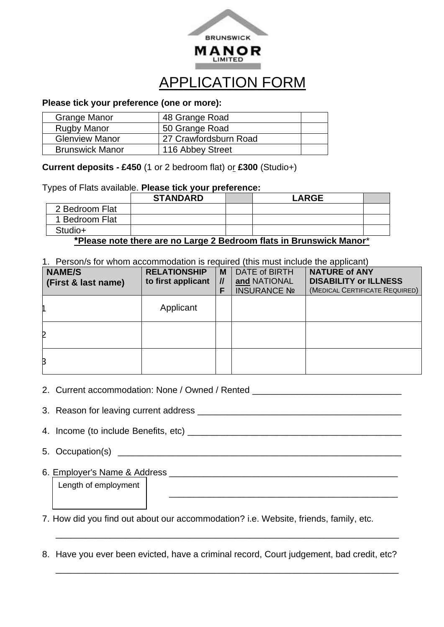

## APPLICATION FORM

## **Please tick your preference (one or more):**

| <b>Grange Manor</b>    | 48 Grange Road        |  |
|------------------------|-----------------------|--|
| <b>Rugby Manor</b>     | 50 Grange Road        |  |
| <b>Glenview Manor</b>  | 27 Crawfordsburn Road |  |
| <b>Brunswick Manor</b> | 116 Abbey Street      |  |

**Current deposits - £450** (1 or 2 bedroom flat) or **£300** (Studio+)

Types of Flats available. **Please tick your preference:**

|                                                                     | <b>STANDARD</b> |  | <b>LARGE</b> |  |  |
|---------------------------------------------------------------------|-----------------|--|--------------|--|--|
| 2 Bedroom Flat                                                      |                 |  |              |  |  |
| 1 Bedroom Flat                                                      |                 |  |              |  |  |
| Studio+                                                             |                 |  |              |  |  |
| *Please note there are no Large 2 Bedroom flats in Brunswick Manor* |                 |  |              |  |  |

1. Person/s for whom accommodation is required (this must include the applicant)

| <b>NAME/S</b><br>(First & last name) | <b>RELATIONSHIP</b><br>to first applicant | M<br>$\mathcal{U}$<br>F | DATE of BIRTH<br>and NATIONAL<br><b>INSURANCE Nº</b> | <b>NATURE of ANY</b><br><b>DISABILITY or ILLNESS</b><br>(MEDICAL CERTIFICATE REQUIRED) |
|--------------------------------------|-------------------------------------------|-------------------------|------------------------------------------------------|----------------------------------------------------------------------------------------|
|                                      | Applicant                                 |                         |                                                      |                                                                                        |
| 2                                    |                                           |                         |                                                      |                                                                                        |
| B                                    |                                           |                         |                                                      |                                                                                        |

- 2. Current accommodation: None / Owned / Rented \_\_\_\_\_\_\_\_\_\_\_\_\_\_\_\_\_\_\_\_\_\_\_\_\_\_\_\_\_\_\_\_
- 3. Reason for leaving current address **with an all and the set of the set of the set of the set of the set of the set of the set of the set of the set of the set of the set of the set of the set of the set of the set of th**
- 4. Income (to include Benefits, etc) \_\_\_\_\_\_\_\_\_\_\_\_\_\_\_\_\_\_\_\_\_\_\_\_\_\_\_\_\_\_\_\_\_\_\_\_\_\_\_\_\_\_\_
- 5. Occupation(s)
- 6. Employer's Name & Address **Example 20** and 20 and 20 and 20 and 20 and 20 and 20 and 20 and 20 and 20 and 20 and 20 and 20 and 20 and 20 and 20 and 20 and 20 and 20 and 20 and 20 and 20 and 20 and 20 and 20 and 20 and 2

Length of employment

- 7. How did you find out about our accommodation? i.e. Website, friends, family, etc.
- 8. Have you ever been evicted, have a criminal record, Court judgement, bad credit, etc?

\_\_\_\_\_\_\_\_\_\_\_\_\_\_\_\_\_\_\_\_\_\_\_\_\_\_\_\_\_\_\_\_\_\_\_\_\_\_\_\_\_\_\_\_\_\_\_\_\_\_\_\_\_\_\_\_\_\_\_\_\_\_\_\_\_\_\_\_\_

\_\_\_\_\_\_\_\_\_\_\_\_\_\_\_\_\_\_\_\_\_\_\_\_\_\_\_\_\_\_\_\_\_\_\_\_\_\_\_\_\_\_\_\_\_\_\_\_\_\_\_\_\_\_\_\_\_\_\_\_\_\_\_\_\_\_\_\_\_

\_\_\_\_\_\_\_\_\_\_\_\_\_\_\_\_\_\_\_\_\_\_\_\_\_\_\_\_\_\_\_\_\_\_\_\_\_\_\_\_\_\_\_\_\_\_